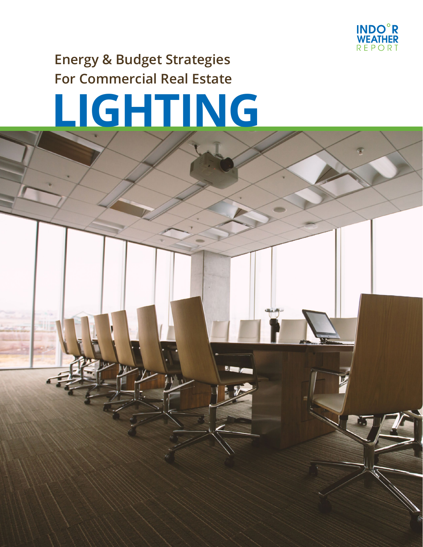

## **Energy & Budget Strategies For Commercial Real Estate**

# **LIGHTING**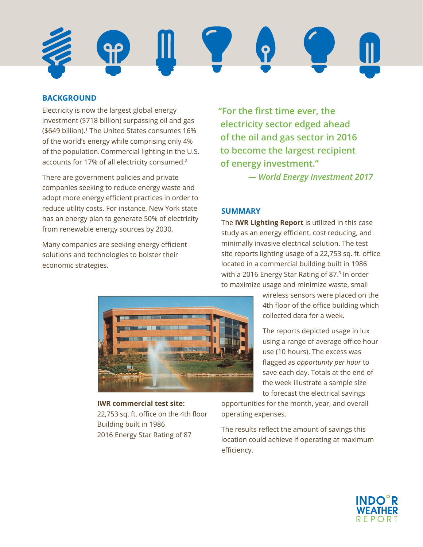

#### **BACKGROUND**

Electricity is now the largest global energy investment (\$718 billion) surpassing oil and gas (\$649 billion).<sup>1</sup> The United States consumes 16% of the world's energy while comprising only 4% of the population.Commercial lighting in the U.S. accounts for 17% of all electricity consumed.2

There are government policies and private companies seeking to reduce energy waste and adopt more energy efficient practices in order to reduce utility costs. For instance, New York state has an energy plan to generate 50% of electricity from renewable energy sources by 2030.

Many companies are seeking energy efficient solutions and technologies to bolster their economic strategies.

**"For the first time ever, the electricity sector edged ahead of the oil and gas sector in 2016 to become the largest recipient of energy investment."**

 *— World Energy Investment 2017*

#### **SUMMARY**

The **IWR Lighting Report** is utilized in this case study as an energy efficient, cost reducing, and minimally invasive electrical solution. The test site reports lighting usage of a 22,753 sq. ft. office located in a commercial building built in 1986 with a 2016 Energy Star Rating of 87.<sup>3</sup> In order to maximize usage and minimize waste, small



The reports depicted usage in lux using a range of average office hour use (10 hours). The excess was flagged as *opportunity per hour* to save each day. Totals at the end of the week illustrate a sample size to forecast the electrical savings

**IWR commercial test site:**  22,753 sq. ft. office on the 4th floor Building built in 1986 2016 Energy Star Rating of 87

opportunities for the month, year, and overall operating expenses.

The results reflect the amount of savings this location could achieve if operating at maximum efficiency.



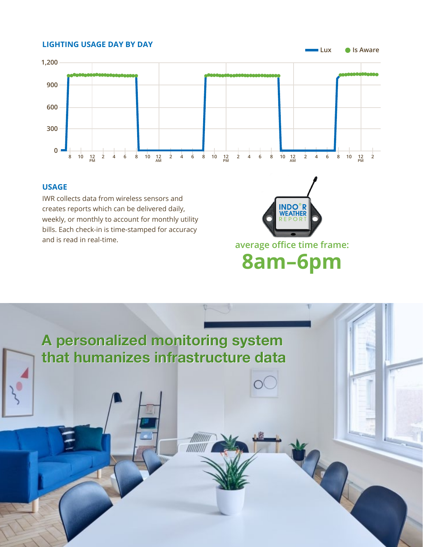#### **LIGHTING USAGE DAY BY DAY**



#### **USAGE**

IWR collects data from wireless sensors and creates reports which can be delivered daily, weekly, or monthly to account for monthly utility bills. Each check-in is time-stamped for accuracy and is read in real-time.



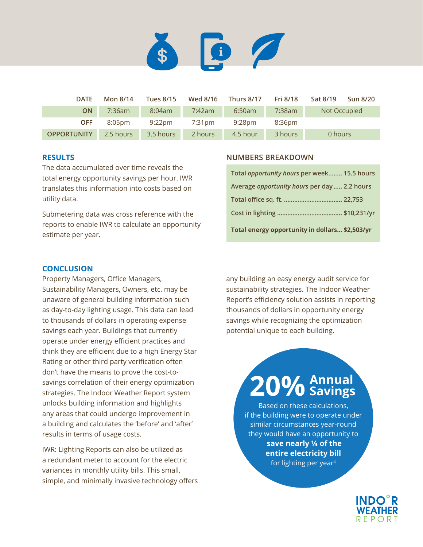

| <b>DATE</b>        | Mon 8/14  | <b>Tues 8/15</b> | Wed 8/16 | Thurs 8/17 | Fri 8/18  | Sat 8/19<br><b>Sun 8/20</b> |
|--------------------|-----------|------------------|----------|------------|-----------|-----------------------------|
| <b>ON</b>          | $7:36$ am | 8:04am           | 7:42am   | 6:50am     | $7:38$ am | Not Occupied                |
| <b>OFF</b>         | 8:05pm    | $9:22$ pm        | 7:31pm   | 9:28pm     | 8:36pm    |                             |
| <b>OPPORTUNITY</b> | 2.5 hours | 3.5 hours        | 2 hours  | 4.5 hour   | 3 hours   | 0 hours                     |

#### **RESULTS**

The data accumulated over time reveals the total energy opportunity savings per hour. IWR translates this information into costs based on utility data.

Submetering data was cross reference with the reports to enable IWR to calculate an opportunity estimate per year.

#### **NUMBERS BREAKDOWN**

| Total energy opportunity in dollars \$2,503/yr |  |
|------------------------------------------------|--|
|                                                |  |
|                                                |  |
| Average opportunity hours per day  2.2 hours   |  |
| Total opportunity hours per week 15.5 hours    |  |

#### **CONCLUSION**

Property Managers, Office Managers, Sustainability Managers, Owners, etc. may be unaware of general building information such as day-to-day lighting usage. This data can lead to thousands of dollars in operating expense savings each year. Buildings that currently operate under energy efficient practices and think they are efficient due to a high Energy Star Rating or other third party verification often don't have the means to prove the cost-tosavings correlation of their energy optimization strategies. The Indoor Weather Report system unlocks building information and highlights any areas that could undergo improvement in a building and calculates the 'before' and 'after' results in terms of usage costs.

IWR: Lighting Reports can also be utilized as a redundant meter to account for the electric variances in monthly utility bills. This small, simple, and minimally invasive technology offers any building an easy energy audit service for sustainability strategies. The Indoor Weather Report's efficiency solution assists in reporting thousands of dollars in opportunity energy savings while recognizing the optimization potential unique to each building.

# **20%Annual Savings**

Based on these calculations, if the building were to operate under similar circumstances year-round they would have an opportunity to  **save nearly ¼ of the entire electricity bill**  for lighting per year<sup>4</sup>